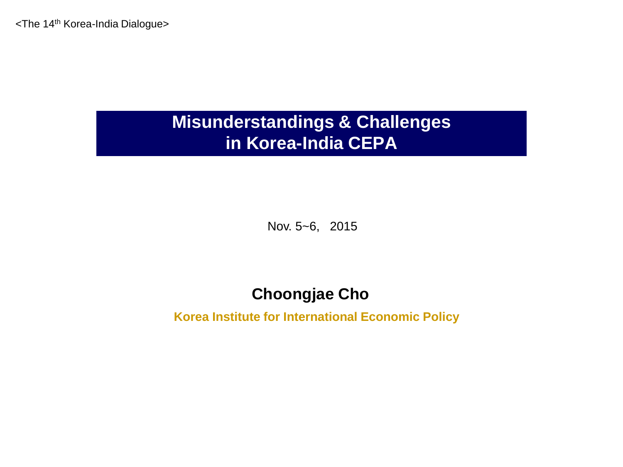<The 14th Korea-India Dialogue>

## **Misunderstandings & Challenges in Korea-India CEPA**

Nov. 5~6, 2015

### **Choongjae Cho**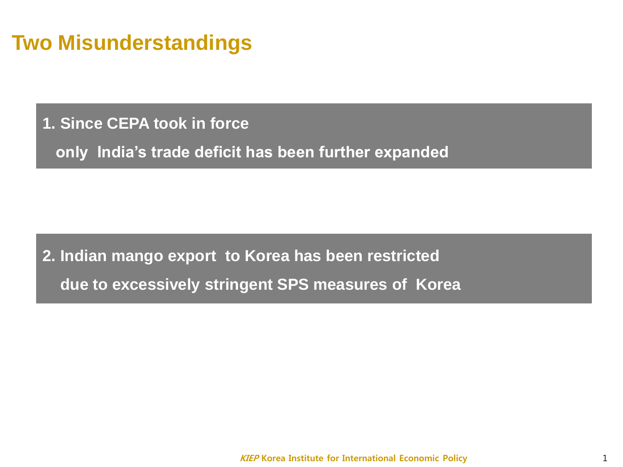# **Two Misunderstandings**

**1. Since CEPA took in force** 

**only India's trade deficit has been further expanded** 

**2. Indian mango export to Korea has been restricted due to excessively stringent SPS measures of Korea**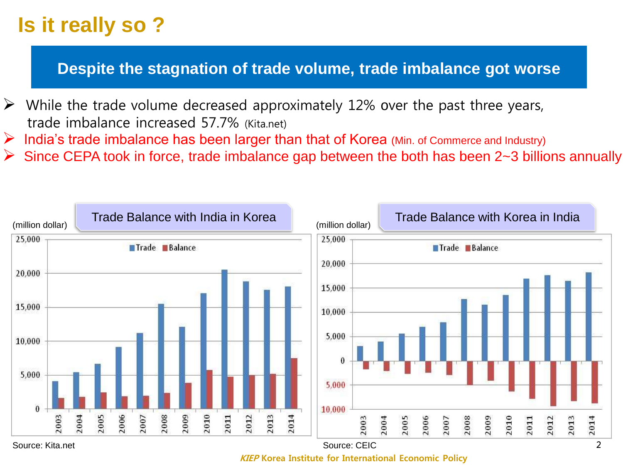# **Is it really so ?**

### **Despite the stagnation of trade volume, trade imbalance got worse**

- $\triangleright$  While the trade volume decreased approximately 12% over the past three years, trade imbalance increased 57.7% (Kita.net)
- India's trade imbalance has been larger than that of Korea (Min. of Commerce and Industry)
- Since CEPA took in force, trade imbalance gap between the both has been 2~3 billions annually



**KIEP Korea Institute for International Economic Policy**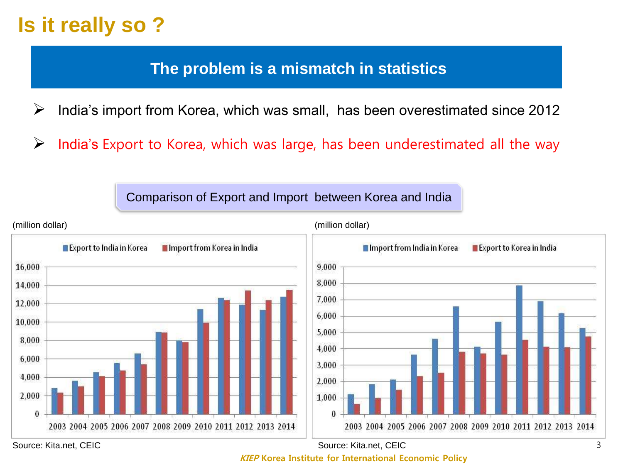# **Is it really so ?**

### **The problem is a mismatch in statistics**

 $\triangleright$  India's import from Korea, which was small, has been overestimated since 2012

 $\triangleright$  India's Export to Korea, which was large, has been underestimated all the way

Comparison of Export and Import between Korea and India



Source: Kita.net, CEIC Source: Kita.net, CEIC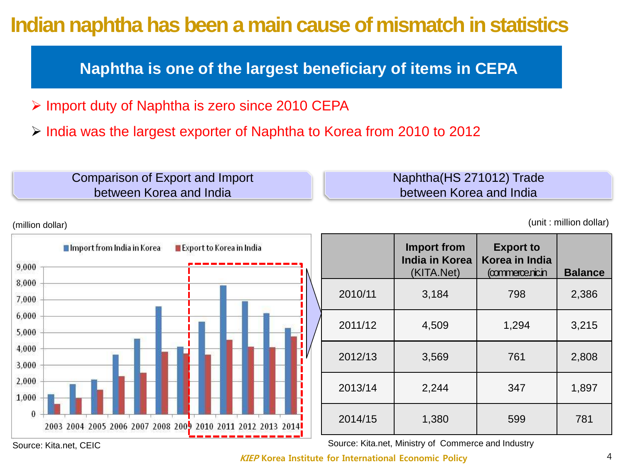# **Indian naphtha has been a main cause of mismatch in statistics**

**Naphtha is one of the largest beneficiary of items in CEPA**

- > Import duty of Naphtha is zero since 2010 CEPA
- $\triangleright$  India was the largest exporter of Naphtha to Korea from 2010 to 2012

| Comparison of Export and Import | Naphtha (HS 271012) Trade |
|---------------------------------|---------------------------|
| between Korea and India         | between Korea and India   |
|                                 |                           |



(unit : million dollar)



|         | <b>Import from</b><br><b>India in Korea</b><br>(KITA.Net) | <b>Export to</b><br>Korea in India<br>(commerce.nic.in | <b>Balance</b> |
|---------|-----------------------------------------------------------|--------------------------------------------------------|----------------|
| 2010/11 | 3,184                                                     | 798                                                    | 2,386          |
| 2011/12 | 4,509                                                     | 1,294                                                  | 3,215          |
| 2012/13 | 3,569                                                     | 761                                                    | 2,808          |
| 2013/14 | 2,244                                                     | 347                                                    | 1,897          |
| 2014/15 | 1,380                                                     | 599                                                    | 781            |

Source: Kita.net. CEIC Source: Kita.net, Ministry of Commerce and Industry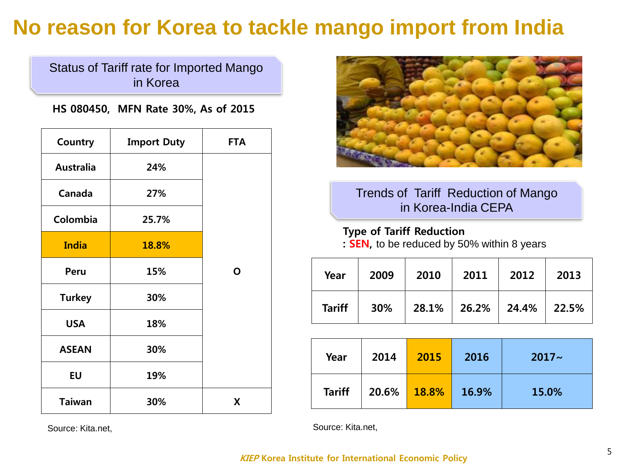# **No reason for Korea to tackle mango import from India**

Status of Tariff rate for Imported Mango in Korea

**HS 080450, MFN Rate 30%, As of 2015** 

| Country          | <b>Import Duty</b> | <b>FTA</b> |
|------------------|--------------------|------------|
| <b>Australia</b> | 24%                |            |
| Canada           | 27%                |            |
| Colombia         | 25.7%              |            |
| <b>India</b>     | 18.8%              |            |
| Peru             | 15%                | O          |
| <b>Turkey</b>    | 30%                |            |
| <b>USA</b>       | 18%                |            |
| <b>ASEAN</b>     | 30%                |            |
| <b>EU</b>        | 19%                |            |
| <b>Taiwan</b>    | 30%                | X          |



### Trends of Tariff Reduction of Mango in Korea-India CEPA

**Type of Tariff Reduction** 

**: SEN,** to be reduced by 50% within 8 years

| Year          | 2009 | 2010                                   | 2011 | 2012 | 2013 |
|---------------|------|----------------------------------------|------|------|------|
| <b>Tariff</b> |      | $30\%$   28.1%   26.2%   24.4%   22.5% |      |      |      |

| Year          | 2014  | 2015  | 2016  | $2017 -$ |
|---------------|-------|-------|-------|----------|
| <b>Tariff</b> | 20.6% | 18.8% | 16.9% | 15.0%    |

Source: Kita.net,

Source: Kita.net,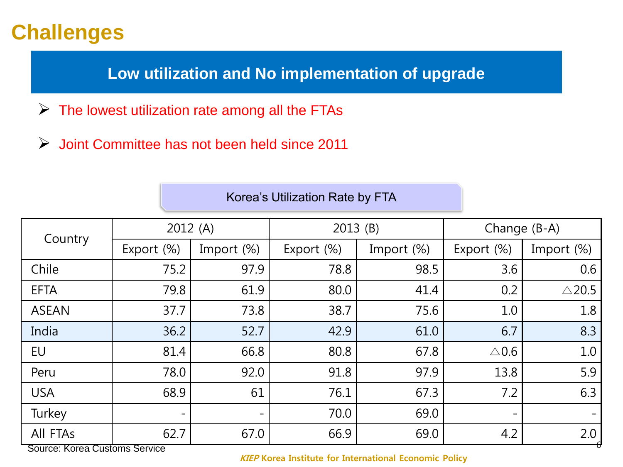**Low utilization and No implementation of upgrade**

- $\triangleright$  The lowest utilization rate among all the FTAs
- $\triangleright$  Joint Committee has not been held since 2011

|                                           | 2012(A)    |            | 2013(B)    |            | Change (B-A)             |                              |
|-------------------------------------------|------------|------------|------------|------------|--------------------------|------------------------------|
| Country                                   | Export (%) | Import (%) | Export (%) | Import (%) | Export (%)               | Import (%)                   |
| Chile                                     | 75.2       | 97.9       | 78.8       | 98.5       | 3.6                      | 0.6                          |
| <b>EFTA</b>                               | 79.8       | 61.9       | 80.0       | 41.4       | 0.2                      | $\triangle$ 20.5             |
| <b>ASEAN</b>                              | 37.7       | 73.8       | 38.7       | 75.6       | 1.0                      | 1.8                          |
| India                                     | 36.2       | 52.7       | 42.9       | 61.0       | 6.7                      | 8.3                          |
| EU                                        | 81.4       | 66.8       | 80.8       | 67.8       | $\triangle$ 0.6          | 1.0                          |
| Peru                                      | 78.0       | 92.0       | 91.8       | 97.9       | 13.8                     | 5.9                          |
| <b>USA</b>                                | 68.9       | 61         | 76.1       | 67.3       | 7.2                      | 6.3                          |
| Turkey                                    | -          | -          | 70.0       | 69.0       | $\overline{\phantom{a}}$ | $\qquad \qquad \blacksquare$ |
| All FTAs<br>Source: Korea Customs Service | 62.7       | 67.0       | 66.9       | 69.0       | 4.2                      | 2.0                          |

### Korea's Utilization Rate by FTA

Source: Korea Customs Service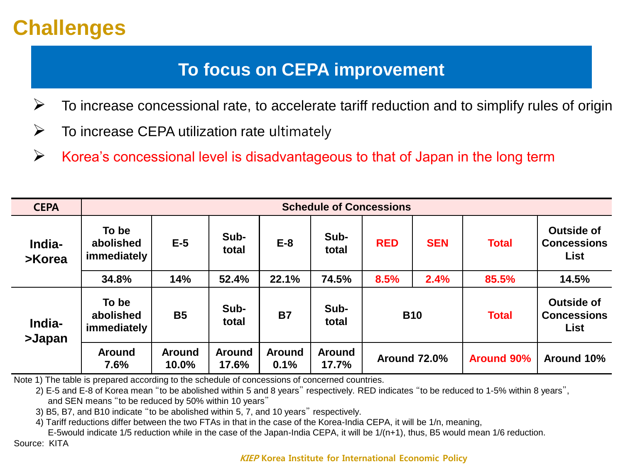# **To focus on CEPA improvement**

- $\triangleright$  To increase concessional rate, to accelerate tariff reduction and to simplify rules of origin
- $\triangleright$  To increase CEPA utilization rate ultimately
- $\triangleright$  Korea's concessional level is disadvantageous to that of Japan in the long term

| <b>CEPA</b>      | <b>Schedule of Concessions</b>    |                        |                        |                       |                        |                     |            |                   |                                                        |
|------------------|-----------------------------------|------------------------|------------------------|-----------------------|------------------------|---------------------|------------|-------------------|--------------------------------------------------------|
| India-<br>>Korea | To be<br>abolished<br>immediately | $E-5$                  | Sub-<br>total          | $E-8$                 | Sub-<br>total          | <b>RED</b>          | <b>SEN</b> | <b>Total</b>      | <b>Outside of</b><br><b>Concessions</b><br><b>List</b> |
|                  | 34.8%                             | 14%                    | 52.4%                  | 22.1%                 | 74.5%                  | 8.5%                | 2.4%       | 85.5%             | 14.5%                                                  |
| India-<br>>Japan | To be<br>abolished<br>immediately | <b>B5</b>              | Sub-<br>total          | <b>B7</b>             | Sub-<br>total          | <b>B10</b>          |            | <b>Total</b>      | <b>Outside of</b><br><b>Concessions</b><br><b>List</b> |
|                  | <b>Around</b><br>7.6%             | <b>Around</b><br>10.0% | <b>Around</b><br>17.6% | <b>Around</b><br>0.1% | <b>Around</b><br>17.7% | <b>Around 72.0%</b> |            | <b>Around 90%</b> | Around 10%                                             |

Note 1) The table is prepared according to the schedule of concessions of concerned countries.

2) E-5 and E-8 of Korea mean "to be abolished within 5 and 8 years" respectively. RED indicates "to be reduced to 1-5% within 8 years", and SEN means "to be reduced by 50% within 10 years"

3) B5, B7, and B10 indicate "to be abolished within 5, 7, and 10 years" respectively.

4) Tariff reductions differ between the two FTAs in that in the case of the Korea-India CEPA, it will be 1/n, meaning,

E-5would indicate 1/5 reduction while in the case of the Japan-India CEPA, it will be 1/(n+1), thus, B5 would mean 1/6 reduction. Source: KITA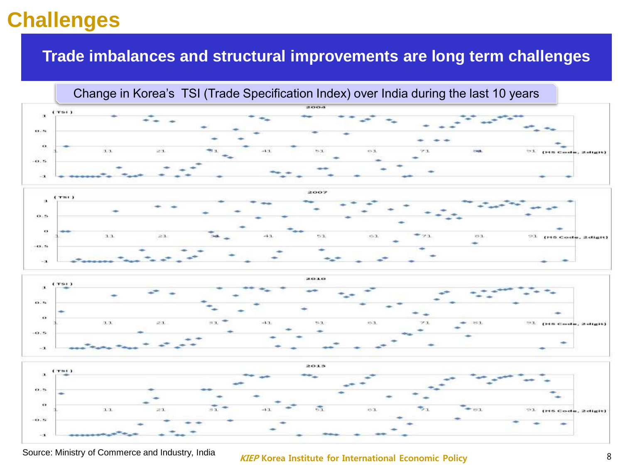### **Trade imbalances and structural improvements are long term challenges**

Change in Korea's TSI (Trade Specification Index) over India during the last 10 years









### **KIEP Korea Institute for International Economic Policy** Source: Ministry of Commerce and Industry, India <sup>8</sup>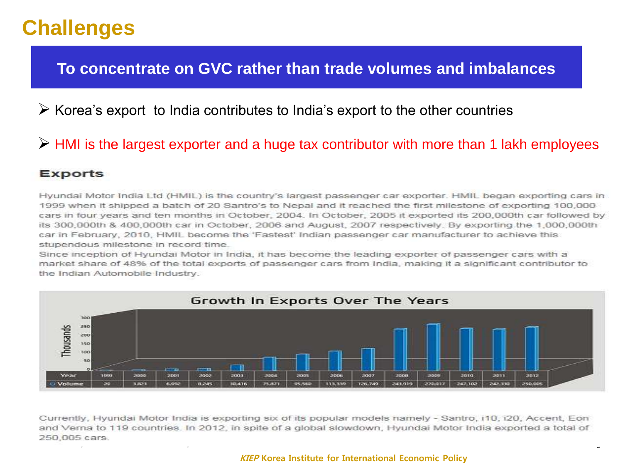### **To concentrate on GVC rather than trade volumes and imbalances**

### $\triangleright$  Korea's export to India contributes to India's export to the other countries

### $\triangleright$  HMI is the largest exporter and a huge tax contributor with more than 1 lakh employees

#### **Exports**

Hyundai Motor India Ltd (HMIL) is the country's largest passenger car exporter. HMIL began exporting cars in 1999 when it shipped a batch of 20 Santro's to Nepal and it reached the first milestone of exporting 100,000 cars in four years and ten months in October, 2004. In October, 2005 it exported its 200,000th car followed by its 300,000th & 400,000th car in October, 2006 and August, 2007 respectively. By exporting the 1,000,000th car in February, 2010, HMIL become the 'Fastest' Indian passenger car manufacturer to achieve this stupendous milestone in record time.

Since inception of Hyundai Motor in India, it has become the leading exporter of passenger cars with a market share of 48% of the total exports of passenger cars from India, making it a significant contributor to the Indian Automobile Industry.



Currently, Hyundai Motor India is exporting six of its popular models namely - Santro, i10, i20, Accent, Eon and Verna to 119 countries. In 2012, in spite of a global slowdown, Hyundai Motor India exported a total of Source: Ministry, India 9, 2008, India 9, 2008, India 9, 2008, India 9, 2008, India 9, 2008, India 9, 2008, India 9, 2008, India 9, 2008, India 9, 2008, India 9, 2008, India 9, 2008, India 9, 2008, India 9, 2008, India 9,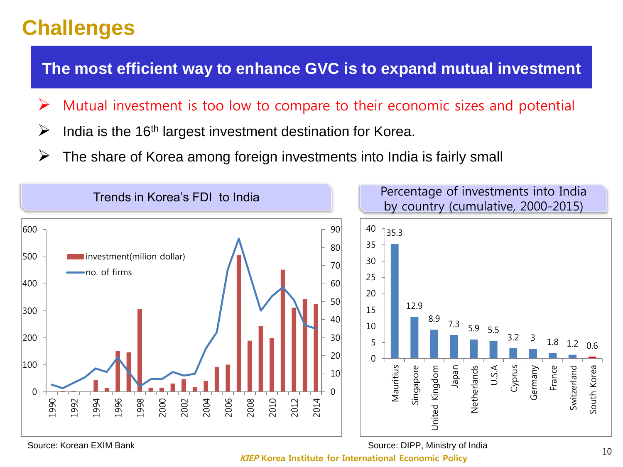**The most efficient way to enhance GVC is to expand mutual investment** 

- $\triangleright$  Mutual investment is too low to compare to their economic sizes and potential
- $\triangleright$  India is the 16<sup>th</sup> largest investment destination for Korea.
- $\triangleright$  The share of Korea among foreign investments into India is fairly small



Source: Korean EXIM Bank

Source: DIPP, Ministry of India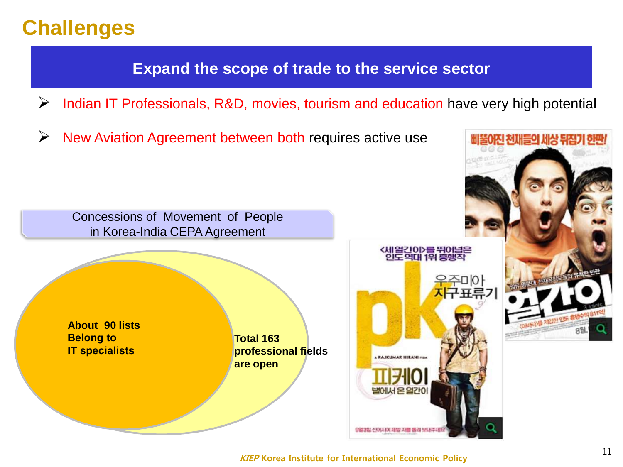### **Expand the scope of trade to the service sector**

- $\triangleright$  Indian IT Professionals, R&D, movies, tourism and education have very high potential
- $\triangleright$  New Aviation Agreement between both requires active use

Concessions of Movement of People in Korea-India CEPA Agreement

**About 90 lists Belong to IT specialists**

**Total 163 professional fields are open** 





어진 천재들의 세상 뒤집기 한판/